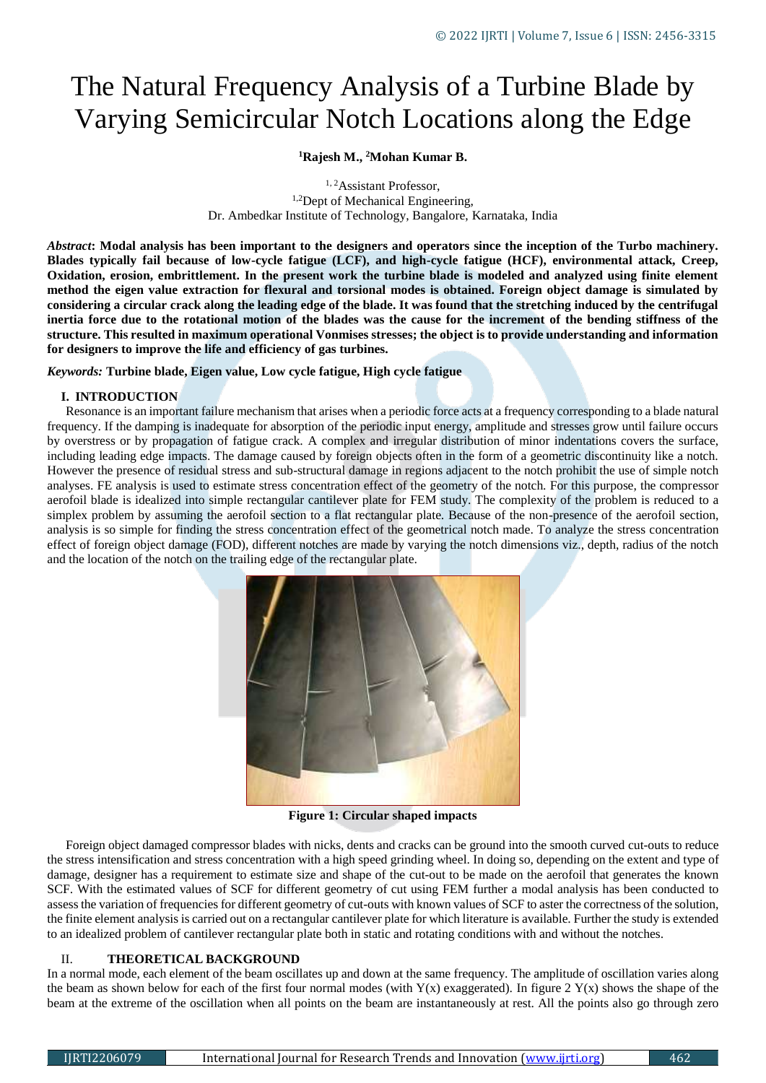# The Natural Frequency Analysis of a Turbine Blade by Varying Semicircular Notch Locations along the Edge

# **<sup>1</sup>Rajesh M., <sup>2</sup>Mohan Kumar B.**

<sup>1, 2</sup>Assistant Professor, <sup>1,2</sup>Dept of Mechanical Engineering, Dr. Ambedkar Institute of Technology, Bangalore, Karnataka, India

*Abstract***: Modal analysis has been important to the designers and operators since the inception of the Turbo machinery. Blades typically fail because of low-cycle fatigue (LCF), and high-cycle fatigue (HCF), environmental attack, Creep, Oxidation, erosion, embrittlement. In the present work the turbine blade is modeled and analyzed using finite element method the eigen value extraction for flexural and torsional modes is obtained. Foreign object damage is simulated by considering a circular crack along the leading edge of the blade. It was found that the stretching induced by the centrifugal inertia force due to the rotational motion of the blades was the cause for the increment of the bending stiffness of the structure. This resulted in maximum operational Vonmises stresses; the object is to provide understanding and information for designers to improve the life and efficiency of gas turbines.**

*Keywords:* **Turbine blade, Eigen value, Low cycle fatigue, High cycle fatigue**

## **I. INTRODUCTION**

Resonance is an important failure mechanism that arises when a periodic force acts at a frequency corresponding to a blade natural frequency. If the damping is inadequate for absorption of the periodic input energy, amplitude and stresses grow until failure occurs by overstress or by propagation of fatigue crack. A complex and irregular distribution of minor indentations covers the surface, including leading edge impacts. The damage caused by foreign objects often in the form of a geometric discontinuity like a notch. However the presence of residual stress and sub-structural damage in regions adjacent to the notch prohibit the use of simple notch analyses. FE analysis is used to estimate stress concentration effect of the geometry of the notch. For this purpose, the compressor aerofoil blade is idealized into simple rectangular cantilever plate for FEM study. The complexity of the problem is reduced to a simplex problem by assuming the aerofoil section to a flat rectangular plate. Because of the non-presence of the aerofoil section, analysis is so simple for finding the stress concentration effect of the geometrical notch made. To analyze the stress concentration effect of foreign object damage (FOD), different notches are made by varying the notch dimensions viz., depth, radius of the notch and the location of the notch on the trailing edge of the rectangular plate.



**Figure 1: Circular shaped impacts**

Foreign object damaged compressor blades with nicks, dents and cracks can be ground into the smooth curved cut-outs to reduce the stress intensification and stress concentration with a high speed grinding wheel. In doing so, depending on the extent and type of damage, designer has a requirement to estimate size and shape of the cut-out to be made on the aerofoil that generates the known SCF. With the estimated values of SCF for different geometry of cut using FEM further a modal analysis has been conducted to assess the variation of frequencies for different geometry of cut-outs with known values of SCF to aster the correctness of the solution, the finite element analysis is carried out on a rectangular cantilever plate for which literature is available. Further the study is extended to an idealized problem of cantilever rectangular plate both in static and rotating conditions with and without the notches.

# II. **THEORETICAL BACKGROUND**

In a normal mode, each element of the beam oscillates up and down at the same frequency. The amplitude of oscillation varies along the beam as shown below for each of the first four normal modes (with  $Y(x)$  exaggerated). In figure 2  $Y(x)$  shows the shape of the beam at the extreme of the oscillation when all points on the beam are instantaneously at rest. All the points also go through zero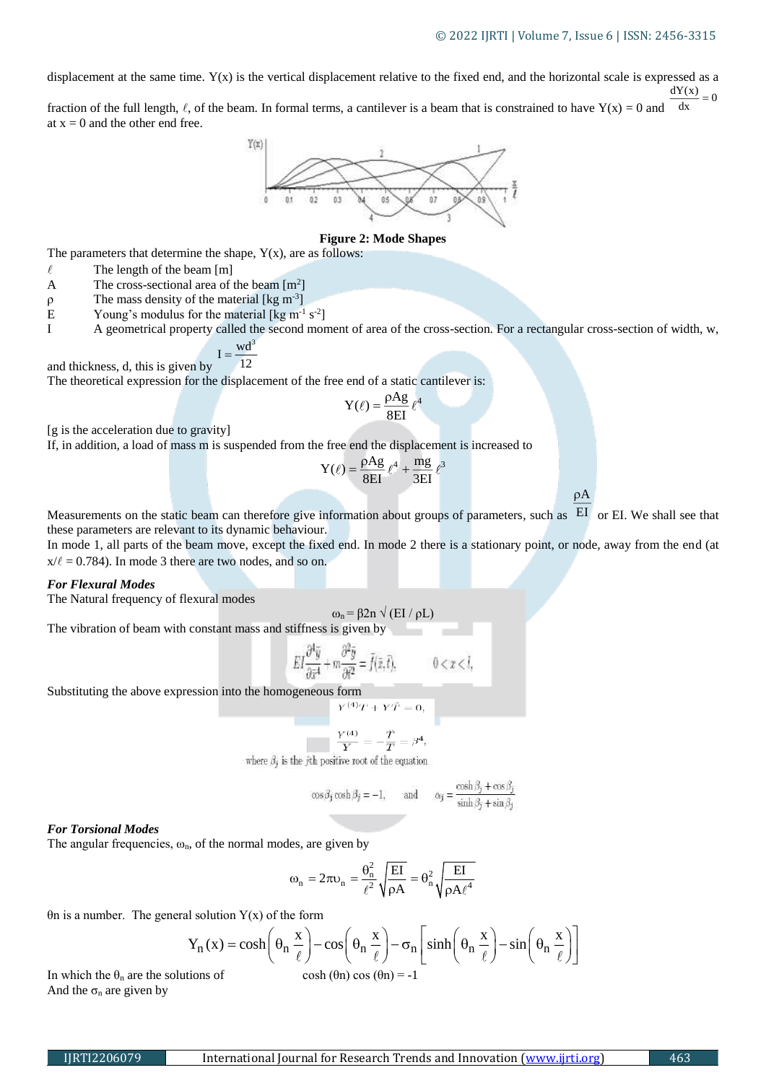$\rho A$ 

displacement at the same time. Y(x) is the vertical displacement relative to the fixed end, and the horizontal scale is expressed as a  $\frac{dY(x)}{dx} = 0$ 

fraction of the full length,  $\ell$ , of the beam. In formal terms, a cantilever is a beam that is constrained to have  $Y(x) = 0$  and dx at  $x = 0$  and the other end free.



## **Figure 2: Mode Shapes**

The parameters that determine the shape,  $Y(x)$ , are as follows:

- $\ell$  The length of the beam [m]
- A The cross-sectional area of the beam  $[m^2]$
- $\rho$  The mass density of the material [kg m<sup>-3</sup>]
- E Young's modulus for the material [kg m<sup>-1</sup> s<sup>-2</sup>]
- I A geometrical property called the second moment of area of the cross-section. For a rectangular cross-section of width, w,

$$
I = \frac{wd^3}{12}
$$

The theoretical expression for the displacement of the free end of a static cantilever is:

$$
Y(\ell) = \frac{\rho Ag}{8EI} \ell^4
$$

[g is the acceleration due to gravity]

and thickness, d, this is given by

If, in addition, a load of mass m is suspended from the free end the displacement is increased to

$$
Y(\ell) = \frac{\rho Ag}{8EI} \ell^4 + \frac{mg}{3EI} \ell^3
$$

Measurements on the static beam can therefore give information about groups of parameters, such as EI or EI. We shall see that these parameters are relevant to its dynamic behaviour.

In mode 1, all parts of the beam move, except the fixed end. In mode 2 there is a stationary point, or node, away from the end (at  $x/\ell = 0.784$ ). In mode 3 there are two nodes, and so on.

### *For Flexural Modes*

The Natural frequency of flexural modes

$$
\omega_n\!=\!\beta 2n\;\sqrt{\left(\mathrm{EI}\;/\;\!\rho L\right)}
$$

The vibration of beam with constant mass and stiffness is given by

$$
EI\frac{\partial^4 \bar{y}}{\partial \bar{x}^4} + m\frac{\partial^2 \bar{y}}{\partial \bar{t}^2} = \bar{f}(\bar{x}, \bar{t}), \qquad 0 < x < l,
$$

Substituting the above expression into the homogeneous form

$$
Y^{(4)}T+Y\ddot{T}=0
$$

$$
\frac{Y^{(4)}}{\mathbf{Y}}=-\frac{\dot{T}}{\mathbf{\pi}}=\beta
$$

where  $\beta_i$  is the jth positive root of the equation

$$
\cos \beta_j \cosh \beta_j = -1,
$$
 and  $\alpha_j = \frac{\cosh \beta_j + \cos \beta_j}{\sinh \beta_j + \sin \beta_j}$ 

#### *For Torsional Modes*

The angular frequencies,  $\omega_n$ , of the normal modes, are given by

$$
\omega_n=2\pi\omega_n=\frac{\theta_n^2}{\ell^2}\sqrt{\frac{EI}{\rho A}}=\theta_n^2\sqrt{\frac{EI}{\rho A\ell^4}}
$$

θn is a number. The general solution Y(x) of the form

$$
Y_n(x) = \cosh\left(\theta_n \frac{x}{\ell}\right) - \cos\left(\theta_n \frac{x}{\ell}\right) - \sigma_n \left[\sinh\left(\theta_n \frac{x}{\ell}\right) - \sin\left(\theta_n \frac{x}{\ell}\right)\right]
$$

In which the  $\theta_n$  are the solutions of cosh ( $\theta_n$ ) cos ( $\theta_n$ ) = -1 And the  $\sigma_n$  are given by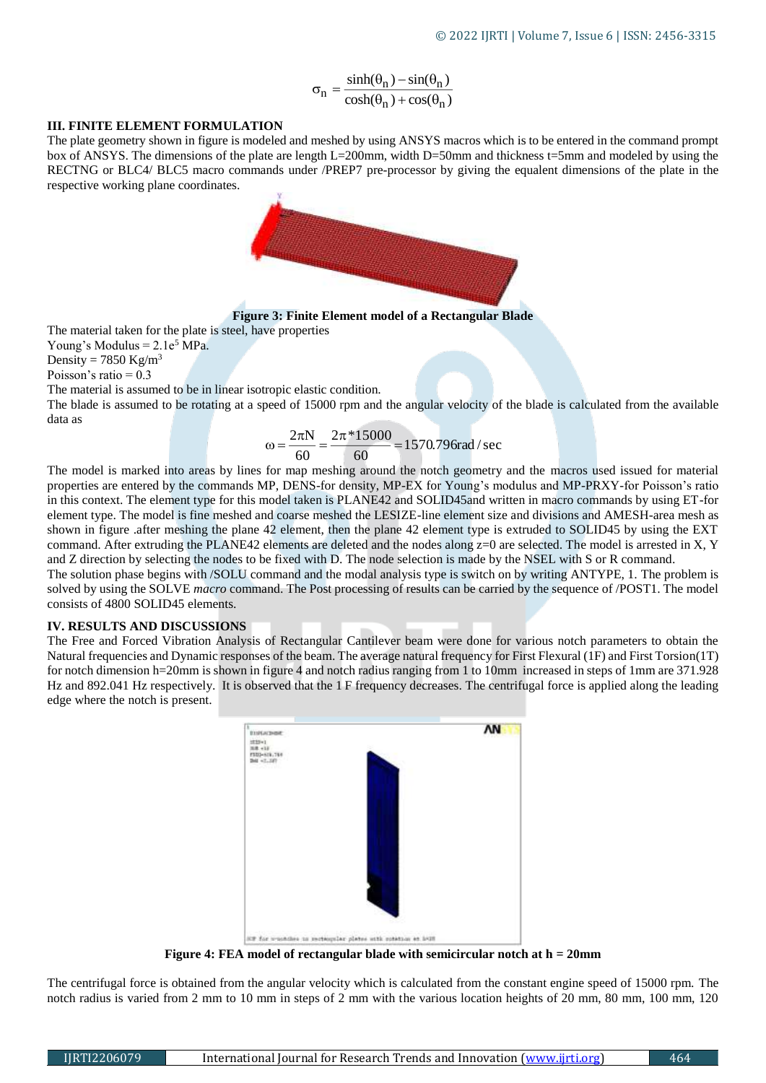$$
\sigma_n = \frac{\sinh(\theta_n) - \sin(\theta_n)}{\cosh(\theta_n) + \cos(\theta_n)}
$$

## **III. FINITE ELEMENT FORMULATION**

The plate geometry shown in figure is modeled and meshed by using ANSYS macros which is to be entered in the command prompt box of ANSYS. The dimensions of the plate are length L=200mm, width D=50mm and thickness t=5mm and modeled by using the RECTNG or BLC4/ BLC5 macro commands under /PREP7 pre-processor by giving the equalent dimensions of the plate in the respective working plane coordinates.



**Figure 3: Finite Element model of a Rectangular Blade**

The material taken for the plate is steel, have properties

Young's Modulus  $= 2.1e^5$  MPa.

Density =  $7850$  Kg/m<sup>3</sup>

Poisson's ratio  $= 0.3$ 

The material is assumed to be in linear isotropic elastic condition.

The blade is assumed to be rotating at a speed of 15000 rpm and the angular velocity of the blade is calculated from the available data as

$$
\omega = \frac{2\pi N}{60} = \frac{2\pi * 15000}{60} = 1570.796 \text{rad} / \text{sec}
$$

The model is marked into areas by lines for map meshing around the notch geometry and the macros used issued for material properties are entered by the commands MP, DENS-for density, MP-EX for Young's modulus and MP-PRXY-for Poisson's ratio in this context. The element type for this model taken is PLANE42 and SOLID45and written in macro commands by using ET-for element type. The model is fine meshed and coarse meshed the LESIZE-line element size and divisions and AMESH-area mesh as shown in figure .after meshing the plane 42 element, then the plane 42 element type is extruded to SOLID45 by using the EXT command. After extruding the PLANE42 elements are deleted and the nodes along  $z=0$  are selected. The model is arrested in X, Y and Z direction by selecting the nodes to be fixed with D. The node selection is made by the NSEL with S or R command.

The solution phase begins with /SOLU command and the modal analysis type is switch on by writing ANTYPE, 1. The problem is solved by using the SOLVE *macro* command. The Post processing of results can be carried by the sequence of /POST1. The model consists of 4800 SOLID45 elements.

## **IV. RESULTS AND DISCUSSIONS**

The Free and Forced Vibration Analysis of Rectangular Cantilever beam were done for various notch parameters to obtain the Natural frequencies and Dynamic responses of the beam. The average natural frequency for First Flexural (1F) and First Torsion(1T) for notch dimension h=20mm is shown in figure 4 and notch radius ranging from 1 to 10mm increased in steps of 1mm are 371.928 Hz and 892.041 Hz respectively. It is observed that the 1 F frequency decreases. The centrifugal force is applied along the leading edge where the notch is present.



**Figure 4: FEA model of rectangular blade with semicircular notch at h = 20mm**

The centrifugal force is obtained from the angular velocity which is calculated from the constant engine speed of 15000 rpm. The notch radius is varied from 2 mm to 10 mm in steps of 2 mm with the various location heights of 20 mm, 80 mm, 100 mm, 120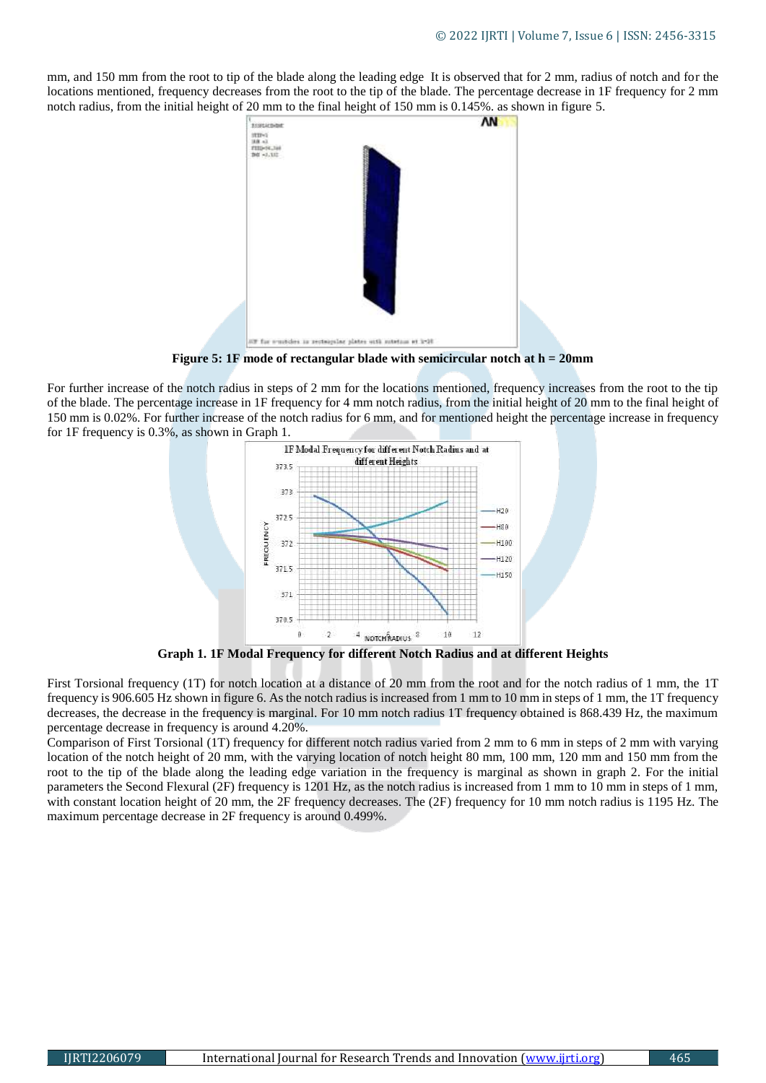mm, and 150 mm from the root to tip of the blade along the leading edge It is observed that for 2 mm, radius of notch and for the locations mentioned, frequency decreases from the root to the tip of the blade. The percentage decrease in 1F frequency for 2 mm notch radius, from the initial height of 20 mm to the final height of 150 mm is 0.145%. as shown in figure 5.



**Figure 5: 1F mode of rectangular blade with semicircular notch at h = 20mm**

For further increase of the notch radius in steps of 2 mm for the locations mentioned, frequency increases from the root to the tip of the blade. The percentage increase in 1F frequency for 4 mm notch radius, from the initial height of 20 mm to the final height of 150 mm is 0.02%. For further increase of the notch radius for 6 mm, and for mentioned height the percentage increase in frequency for 1F frequency is 0.3%, as shown in Graph 1.



**Graph 1. 1F Modal Frequency for different Notch Radius and at different Heights**

First Torsional frequency (1T) for notch location at a distance of 20 mm from the root and for the notch radius of 1 mm, the 1T frequency is 906.605 Hz shown in figure 6. As the notch radius is increased from 1 mm to 10 mm in steps of 1 mm, the 1T frequency decreases, the decrease in the frequency is marginal. For 10 mm notch radius 1T frequency obtained is 868.439 Hz, the maximum percentage decrease in frequency is around 4.20%.

Comparison of First Torsional (1T) frequency for different notch radius varied from 2 mm to 6 mm in steps of 2 mm with varying location of the notch height of 20 mm, with the varying location of notch height 80 mm, 100 mm, 120 mm and 150 mm from the root to the tip of the blade along the leading edge variation in the frequency is marginal as shown in graph 2. For the initial parameters the Second Flexural (2F) frequency is 1201 Hz, as the notch radius is increased from 1 mm to 10 mm in steps of 1 mm, with constant location height of 20 mm, the 2F frequency decreases. The (2F) frequency for 10 mm notch radius is 1195 Hz. The maximum percentage decrease in 2F frequency is around 0.499%.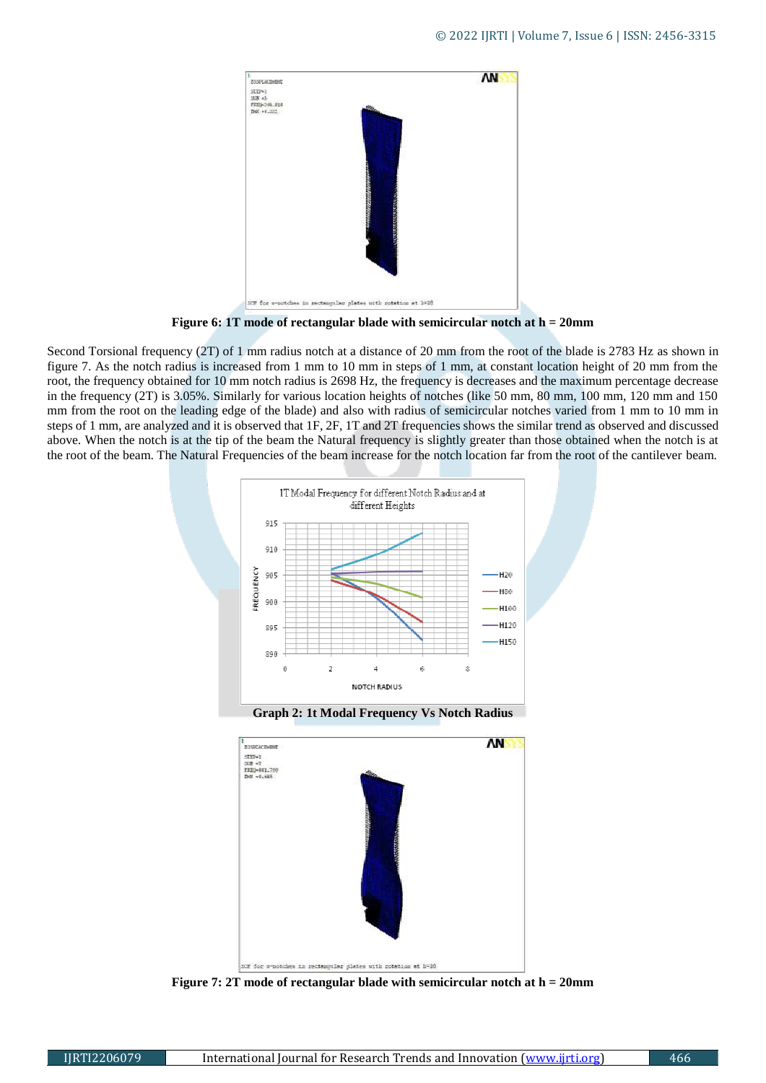

**Figure 6: 1T mode of rectangular blade with semicircular notch at h = 20mm**

Second Torsional frequency (2T) of 1 mm radius notch at a distance of 20 mm from the root of the blade is 2783 Hz as shown in figure 7. As the notch radius is increased from 1 mm to 10 mm in steps of 1 mm, at constant location height of 20 mm from the root, the frequency obtained for 10 mm notch radius is 2698 Hz, the frequency is decreases and the maximum percentage decrease in the frequency (2T) is 3.05%. Similarly for various location heights of notches (like 50 mm, 80 mm, 100 mm, 120 mm and 150 mm from the root on the leading edge of the blade) and also with radius of semicircular notches varied from 1 mm to 10 mm in steps of 1 mm, are analyzed and it is observed that 1F, 2F, 1T and 2T frequencies shows the similar trend as observed and discussed above. When the notch is at the tip of the beam the Natural frequency is slightly greater than those obtained when the notch is at the root of the beam. The Natural Frequencies of the beam increase for the notch location far from the root of the cantilever beam.



**Graph 2: 1t Modal Frequency Vs Notch Radius**



**Figure 7: 2T mode of rectangular blade with semicircular notch at h = 20mm**